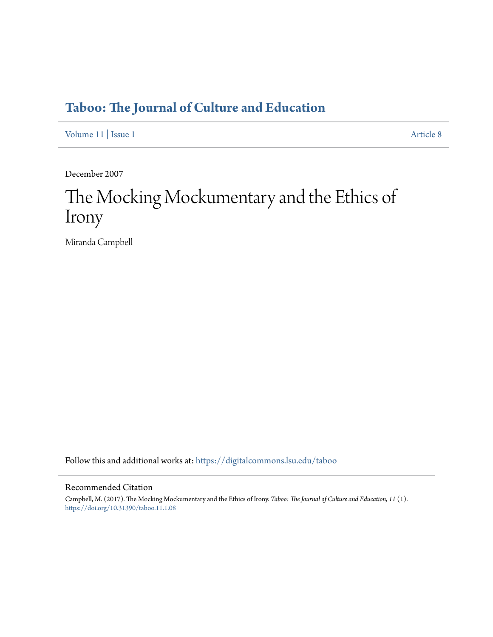## **[Taboo: The Journal of Culture and Education](https://digitalcommons.lsu.edu/taboo?utm_source=digitalcommons.lsu.edu%2Ftaboo%2Fvol11%2Fiss1%2F8&utm_medium=PDF&utm_campaign=PDFCoverPages)**

[Volume 11](https://digitalcommons.lsu.edu/taboo/vol11?utm_source=digitalcommons.lsu.edu%2Ftaboo%2Fvol11%2Fiss1%2F8&utm_medium=PDF&utm_campaign=PDFCoverPages) | [Issue 1](https://digitalcommons.lsu.edu/taboo/vol11/iss1?utm_source=digitalcommons.lsu.edu%2Ftaboo%2Fvol11%2Fiss1%2F8&utm_medium=PDF&utm_campaign=PDFCoverPages) [Article 8](https://digitalcommons.lsu.edu/taboo/vol11/iss1/8?utm_source=digitalcommons.lsu.edu%2Ftaboo%2Fvol11%2Fiss1%2F8&utm_medium=PDF&utm_campaign=PDFCoverPages)

December 2007

# The Mocking Mockumentary and the Ethics of Irony

Miranda Campbell

Follow this and additional works at: [https://digitalcommons.lsu.edu/taboo](https://digitalcommons.lsu.edu/taboo?utm_source=digitalcommons.lsu.edu%2Ftaboo%2Fvol11%2Fiss1%2F8&utm_medium=PDF&utm_campaign=PDFCoverPages)

#### Recommended Citation

Campbell, M. (2017). The Mocking Mockumentary and the Ethics of Irony. *Taboo: The Journal of Culture and Education, 11* (1). <https://doi.org/10.31390/taboo.11.1.08>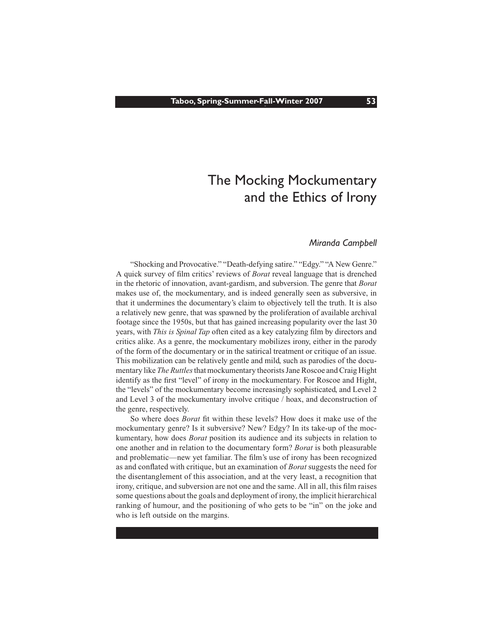#### *Miranda Campbell*

 "Shocking and Provocative." "Death-defying satire." "Edgy." "A New Genre." A quick survey of film critics' reviews of *Borat* reveal language that is drenched in the rhetoric of innovation, avant-gardism, and subversion. The genre that *Borat* makes use of, the mockumentary, and is indeed generally seen as subversive, in that it undermines the documentary's claim to objectively tell the truth. It is also a relatively new genre, that was spawned by the proliferation of available archival footage since the 1950s, but that has gained increasing popularity over the last 30 years, with *This is Spinal Tap* often cited as a key catalyzing film by directors and critics alike. As a genre, the mockumentary mobilizes irony, either in the parody of the form of the documentary or in the satirical treatment or critique of an issue. This mobilization can be relatively gentle and mild, such as parodies of the documentary like *The Ruttles* that mockumentary theorists Jane Roscoe and Craig Hight identify as the first "level" of irony in the mockumentary. For Roscoe and Hight, the "levels" of the mockumentary become increasingly sophisticated, and Level 2 and Level 3 of the mockumentary involve critique / hoax, and deconstruction of the genre, respectively.

 So where does *Borat* fit within these levels? How does it make use of the mockumentary genre? Is it subversive? New? Edgy? In its take-up of the mockumentary, how does *Borat* position its audience and its subjects in relation to one another and in relation to the documentary form? *Borat* is both pleasurable and problematic—new yet familiar. The film's use of irony has been recognized as and conflated with critique, but an examination of *Borat* suggests the need for the disentanglement of this association, and at the very least, a recognition that irony, critique, and subversion are not one and the same. All in all, this film raises some questions about the goals and deployment of irony, the implicit hierarchical ranking of humour, and the positioning of who gets to be "in" on the joke and who is left outside on the margins.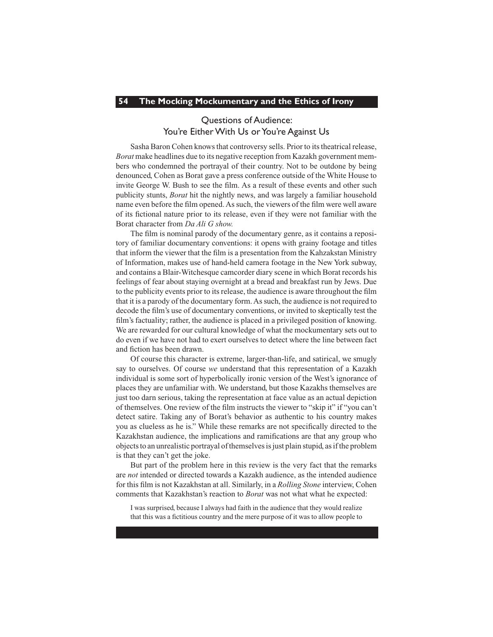### Questions of Audience: You're Either With Us or You're Against Us

Sasha Baron Cohen knows that controversy sells. Prior to its theatrical release, *Borat* make headlines due to its negative reception from Kazakh government members who condemned the portrayal of their country. Not to be outdone by being denounced, Cohen as Borat gave a press conference outside of the White House to invite George W. Bush to see the film. As a result of these events and other such publicity stunts, *Borat* hit the nightly news, and was largely a familiar household name even before the film opened.Assuch, the viewers of the film were well aware of its fictional nature prior to its release, even if they were not familiar with the Borat character from *Da Ali G show.*

 The film is nominal parody of the documentary genre, as it contains a repository of familiar documentary conventions: it opens with grainy footage and titles that inform the viewer that the film is a presentation from the Kahzakstan Ministry of Information, makes use of hand-held camera footage in the New York subway, and contains a Blair-Witchesque camcorder diary scene in which Borat records his feelings of fear about staying overnight at a bread and breakfast run by Jews. Due to the publicity events prior to its release, the audience is aware throughout the film that it is a parody of the documentary form.Assuch, the audience is not required to decode the film's use of documentary conventions, or invited to skeptically test the film's factuality; rather, the audience is placed in a privileged position of knowing. We are rewarded for our cultural knowledge of what the mockumentary sets out to do even if we have not had to exert ourselves to detect where the line between fact and fiction has been drawn.

 Of course this character is extreme, larger-than-life, and satirical, we smugly say to ourselves. Of course *we* understand that this representation of a Kazakh individual is some sort of hyperbolically ironic version of the West's ignorance of places they are unfamiliar with. We understand, but those Kazakhs themselves are just too darn serious, taking the representation at face value as an actual depiction of themselves. One review of the film instructs the viewer to "skip it" if "you can't detect satire. Taking any of Borat's behavior as authentic to his country makes you as clueless as he is." While these remarks are not specifically directed to the Kazakhstan audience, the implications and ramifications are that any group who objects to an unrealistic portrayal of themselves is just plain stupid, as if the problem is that they can't get the joke.

 But part of the problem here in this review is the very fact that the remarks are *not* intended or directed towards a Kazakh audience, as the intended audience for this film is not Kazakhstan at all. Similarly, in a *Rolling Stone* interview, Cohen comments that Kazakhstan's reaction to *Borat* was not what what he expected:

I was surprised, because I always had faith in the audience that they would realize that this was a fictitious country and the mere purpose of it was to allow people to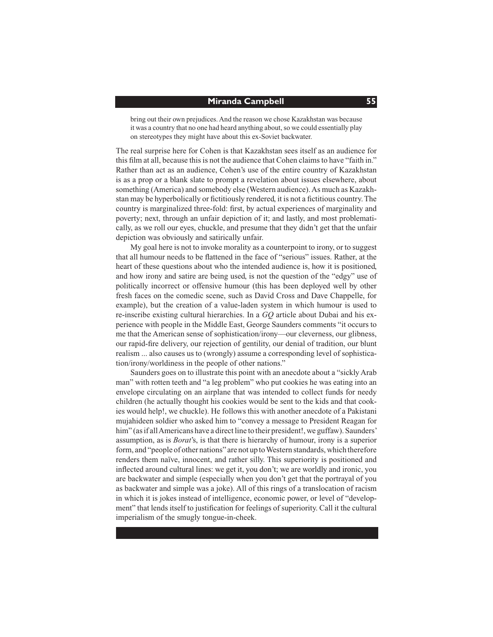bring out their own prejudices. And the reason we chose Kazakhstan was because it was a country that no one had heard anything about, so we could essentially play on stereotypes they might have about this ex-Soviet backwater.

The real surprise here for Cohen is that Kazakhstan sees itself as an audience for this film at all, because thisis not the audience that Cohen claimsto have "faith in." Rather than act as an audience, Cohen's use of the entire country of Kazakhstan is as a prop or a blank slate to prompt a revelation about issues elsewhere, about something (America) and somebody else (Western audience). As much as Kazakhstan may be hyperbolically or fictitiously rendered, it is not a fictitious country.The country is marginalized three-fold: first, by actual experiences of marginality and poverty; next, through an unfair depiction of it; and lastly, and most problematically, as we roll our eyes, chuckle, and presume that they didn't get that the unfair depiction was obviously and satirically unfair.

 My goal here is not to invoke morality as a counterpoint to irony, or to suggest that all humour needs to be flattened in the face of "serious" issues. Rather, at the heart of these questions about who the intended audience is, how it is positioned, and how irony and satire are being used, is not the question of the "edgy" use of politically incorrect or offensive humour (this has been deployed well by other fresh faces on the comedic scene, such as David Cross and Dave Chappelle, for example), but the creation of a value-laden system in which humour is used to re-inscribe existing cultural hierarchies. In a *GQ* article about Dubai and his experience with people in the Middle East, George Saunders comments "it occurs to me that the American sense of sophistication/irony—our cleverness, our glibness, our rapid-fire delivery, our rejection of gentility, our denial of tradition, our blunt realism ... also causes us to (wrongly) assume a corresponding level of sophistication/irony/worldiness in the people of other nations."

 Saunders goes on to illustrate this point with an anecdote about a "sickly Arab man" with rotten teeth and "a leg problem" who put cookies he was eating into an envelope circulating on an airplane that was intended to collect funds for needy children (he actually thought his cookies would be sent to the kids and that cookies would help!, we chuckle). He follows this with another anecdote of a Pakistani mujahideen soldier who asked him to "convey a message to President Reagan for him" (as if all Americans have a direct line to their president!, we guffaw). Saunders' assumption, as is *Borat*'s, is that there is hierarchy of humour, irony is a superior form, and "people of other nations" are not up to Western standards, which therefore renders them naïve, innocent, and rather silly. This superiority is positioned and inflected around cultural lines: we get it, you don't; we are worldly and ironic, you are backwater and simple (especially when you don't get that the portrayal of you as backwater and simple was a joke). All of this rings of a translocation of racism in which it is jokes instead of intelligence, economic power, or level of "development" that lends itself to justification for feelings of superiority. Call it the cultural imperialism of the smugly tongue-in-cheek.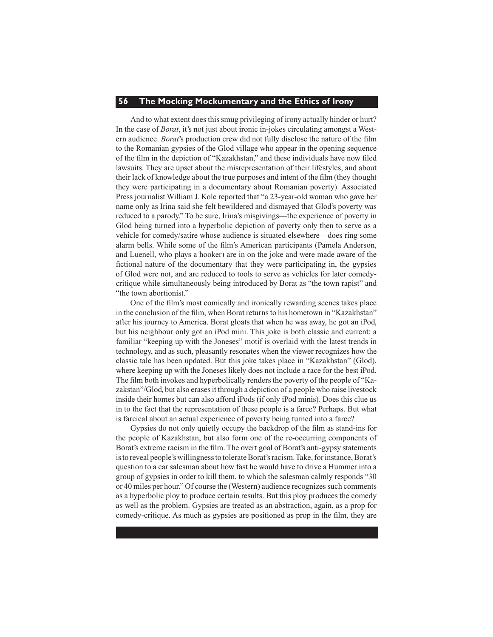And to what extent does this smug privileging of irony actually hinder or hurt? In the case of *Borat*, it's not just about ironic in-jokes circulating amongst a Western audience. *Borat*'s production crew did not fully disclose the nature of the film to the Romanian gypsies of the Glod village who appear in the opening sequence of the film in the depiction of "Kazakhstan," and these individuals have now filed lawsuits. They are upset about the misrepresentation of their lifestyles, and about their lack of knowledge about the true purposes and intent of the film (they thought they were participating in a documentary about Romanian poverty). Associated Press journalist William J. Kole reported that "a 23-year-old woman who gave her name only as Irina said she felt bewildered and dismayed that Glod's poverty was reduced to a parody." To be sure, Irina's misgivings—the experience of poverty in Glod being turned into a hyperbolic depiction of poverty only then to serve as a vehicle for comedy/satire whose audience is situated elsewhere—does ring some alarm bells. While some of the film's American participants (Pamela Anderson, and Luenell, who plays a hooker) are in on the joke and were made aware of the fictional nature of the documentary that they were participating in, the gypsies of Glod were not, and are reduced to tools to serve as vehicles for later comedycritique while simultaneously being introduced by Borat as "the town rapist" and "the town abortionist."

 One of the film's most comically and ironically rewarding scenes takes place in the conclusion of the film, when Borat returnsto his hometown in "Kazakhstan" after his journey to America. Borat gloats that when he was away, he got an iPod, but his neighbour only got an iPod mini. This joke is both classic and current: a familiar "keeping up with the Joneses" motif is overlaid with the latest trends in technology, and as such, pleasantly resonates when the viewer recognizes how the classic tale has been updated. But this joke takes place in "Kazakhstan" (Glod), where keeping up with the Joneses likely does not include a race for the best iPod. The film both invokes and hyperbolically renders the poverty of the people of "Kazakstan"/Glod, but also erases it through a depiction of a people who raise livestock inside their homes but can also afford iPods (if only iPod minis). Does this clue us in to the fact that the representation of these people is a farce? Perhaps. But what is farcical about an actual experience of poverty being turned into a farce?

 Gypsies do not only quietly occupy the backdrop of the film as stand-ins for the people of Kazakhstan, but also form one of the re-occurring components of Borat's extreme racism in the film. The overt goal of Borat's anti-gypsy statements is to reveal people's willingness to tolerate Borat's racism. Take, for instance, Borat's question to a car salesman about how fast he would have to drive a Hummer into a group of gypsies in order to kill them, to which the salesman calmly responds "30 or 40 miles per hour." Of course the (Western) audience recognizessuch comments as a hyperbolic ploy to produce certain results. But this ploy produces the comedy as well as the problem. Gypsies are treated as an abstraction, again, as a prop for comedy-critique. As much as gypsies are positioned as prop in the film, they are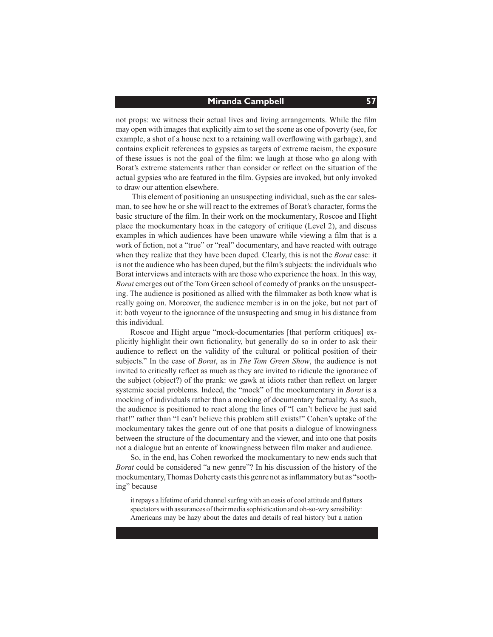#### **Miranda Campbell 57**

not props: we witness their actual lives and living arrangements. While the film may open with imagesthat explicitly aim to set the scene as one of poverty (see, for example, a shot of a house next to a retaining wall overflowing with garbage), and contains explicit references to gypsies as targets of extreme racism, the exposure of these issues is not the goal of the film: we laugh at those who go along with Borat's extreme statements rather than consider or reflect on the situation of the actual gypsies who are featured in the film. Gypsies are invoked, but only invoked to draw our attention elsewhere.

This element of positioning an unsuspecting individual, such as the car salesman, to see how he or she will react to the extremes of Borat's character, forms the basic structure of the film. In their work on the mockumentary, Roscoe and Hight place the mockumentary hoax in the category of critique (Level 2), and discuss examples in which audiences have been unaware while viewing a film that is a work of fiction, not a "true" or "real" documentary, and have reacted with outrage when they realize that they have been duped. Clearly, this is not the *Borat* case: it is not the audience who has been duped, but the film's subjects: the individuals who Borat interviews and interacts with are those who experience the hoax. In this way, *Borat* emerges out of the Tom Green school of comedy of pranks on the unsuspecting. The audience is positioned as allied with the filmmaker as both know what is really going on. Moreover, the audience member is in on the joke, but not part of it: both voyeur to the ignorance of the unsuspecting and smug in his distance from this individual.

 Roscoe and Hight argue "mock-documentaries [that perform critiques] explicitly highlight their own fictionality, but generally do so in order to ask their audience to reflect on the validity of the cultural or political position of their subjects." In the case of *Borat*, as in *The Tom Green Show*, the audience is not invited to critically reflect as much as they are invited to ridicule the ignorance of the subject (object?) of the prank: we gawk at idiots rather than reflect on larger systemic social problems. Indeed, the "mock" of the mockumentary in *Borat* is a mocking of individuals rather than a mocking of documentary factuality. As such, the audience is positioned to react along the lines of "I can't believe he just said that!" rather than "I can't believe this problem still exists!" Cohen's uptake of the mockumentary takes the genre out of one that posits a dialogue of knowingness between the structure of the documentary and the viewer, and into one that posits not a dialogue but an entente of knowingness between film maker and audience.

 So, in the end, has Cohen reworked the mockumentary to new ends such that *Borat* could be considered "a new genre"? In his discussion of the history of the mockumentary, Thomas Doherty casts this genre not as inflammatory but as "soothing" because

it repays a lifetime of arid channel surfing with an oasis of cool attitude and flatters spectators with assurances of their media sophistication and oh-so-wry sensibility: Americans may be hazy about the dates and details of real history but a nation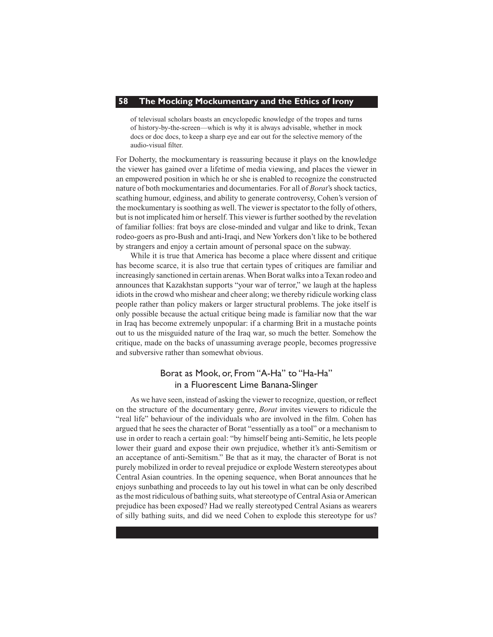of televisual scholars boasts an encyclopedic knowledge of the tropes and turns of history-by-the-screen—which is why it is always advisable, whether in mock docs or doc docs, to keep a sharp eye and ear out for the selective memory of the audio-visual filter.

For Doherty, the mockumentary is reassuring because it plays on the knowledge the viewer has gained over a lifetime of media viewing, and places the viewer in an empowered position in which he or she is enabled to recognize the constructed nature of both mockumentaries and documentaries. For all of *Borat*'sshock tactics, scathing humour, edginess, and ability to generate controversy, Cohen's version of the mockumentary is soothing as well. The viewer is spectator to the folly of others, but is not implicated him or herself. This viewer is further soothed by the revelation of familiar follies: frat boys are close-minded and vulgar and like to drink, Texan rodeo-goers as pro-Bush and anti-Iraqi, and NewYorkers don't like to be bothered by strangers and enjoy a certain amount of personal space on the subway.

 While it is true that America has become a place where dissent and critique has become scarce, it is also true that certain types of critiques are familiar and increasingly sanctioned in certain arenas. When Borat walks into a Texan rodeo and announces that Kazakhstan supports "your war of terror," we laugh at the hapless idiots in the crowd who mishear and cheer along; we thereby ridicule working class people rather than policy makers or larger structural problems. The joke itself is only possible because the actual critique being made is familiar now that the war in Iraq has become extremely unpopular: if a charming Brit in a mustache points out to us the misguided nature of the Iraq war, so much the better. Somehow the critique, made on the backs of unassuming average people, becomes progressive and subversive rather than somewhat obvious.

#### Borat as Mook, or, From "A-Ha" to "Ha-Ha" in a Fluorescent Lime Banana-Slinger

 As we have seen, instead of asking the viewer to recognize, question, or reflect on the structure of the documentary genre, *Borat* invites viewers to ridicule the "real life" behaviour of the individuals who are involved in the film. Cohen has argued that he sees the character of Borat "essentially as a tool" or a mechanism to use in order to reach a certain goal: "by himself being anti-Semitic, he lets people lower their guard and expose their own prejudice, whether it's anti-Semitism or an acceptance of anti-Semitism." Be that as it may, the character of Borat is not purely mobilized in order to reveal prejudice or explode Western stereotypes about Central Asian countries. In the opening sequence, when Borat announces that he enjoys sunbathing and proceeds to lay out his towel in what can be only described asthe most ridiculous of bathing suits, whatstereotype of CentralAsia orAmerican prejudice has been exposed? Had we really stereotyped Central Asians as wearers of silly bathing suits, and did we need Cohen to explode this stereotype for us?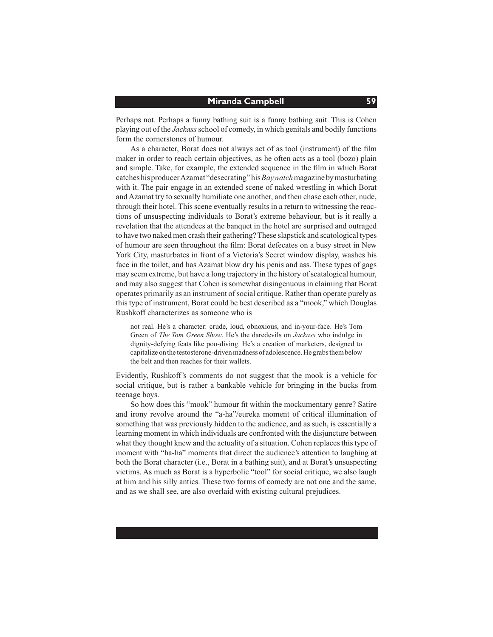#### **Miranda Campbell 59**

Perhaps not. Perhaps a funny bathing suit is a funny bathing suit. This is Cohen playing out of the *Jackass* school of comedy, in which genitals and bodily functions form the cornerstones of humour.

 As a character, Borat does not always act of as tool (instrument) of the film maker in order to reach certain objectives, as he often acts as a tool (bozo) plain and simple. Take, for example, the extended sequence in the film in which Borat catches his producerAzamat "desecrating" his*Baywatch*magazine bymasturbating with it. The pair engage in an extended scene of naked wrestling in which Borat andAzamat try to sexually humiliate one another, and then chase each other, nude, through their hotel. This scene eventually results in a return to witnessing the reactions of unsuspecting individuals to Borat's extreme behaviour, but is it really a revelation that the attendees at the banquet in the hotel are surprised and outraged to have two naked men crash their gathering?These slapstick and scatological types of humour are seen throughout the film: Borat defecates on a busy street in New York City, masturbates in front of a Victoria's Secret window display, washes his face in the toilet, and has Azamat blow dry his penis and ass. These types of gags may seem extreme, but have a long trajectory in the history of scatalogical humour, and may also suggest that Cohen is somewhat disingenuous in claiming that Borat operates primarily as an instrument ofsocial critique. Rather than operate purely as this type of instrument, Borat could be best described as a "mook," which Douglas Rushkoff characterizes as someone who is

not real. He's a character: crude, loud, obnoxious, and in-your-face. He's Tom Green of *The Tom Green Show*. He's the daredevils on *Jackass* who indulge in dignity-defying feats like poo-diving. He's a creation of marketers, designed to capitalize onthe testosterone-drivenmadness of adolescence.Hegrabsthembelow the belt and then reaches for their wallets.

Evidently, Rushkoff's comments do not suggest that the mook is a vehicle for social critique, but is rather a bankable vehicle for bringing in the bucks from teenage boys.

 So how does this "mook" humour fit within the mockumentary genre? Satire and irony revolve around the "a-ha"/eureka moment of critical illumination of something that was previously hidden to the audience, and as such, is essentially a learning moment in which individuals are confronted with the disjuncture between what they thought knew and the actuality of a situation. Cohen replaces this type of moment with "ha-ha" moments that direct the audience's attention to laughing at both the Borat character (i.e., Borat in a bathing suit), and at Borat's unsuspecting victims. As much as Borat is a hyperbolic "tool" for social critique, we also laugh at him and his silly antics. These two forms of comedy are not one and the same, and as we shall see, are also overlaid with existing cultural prejudices.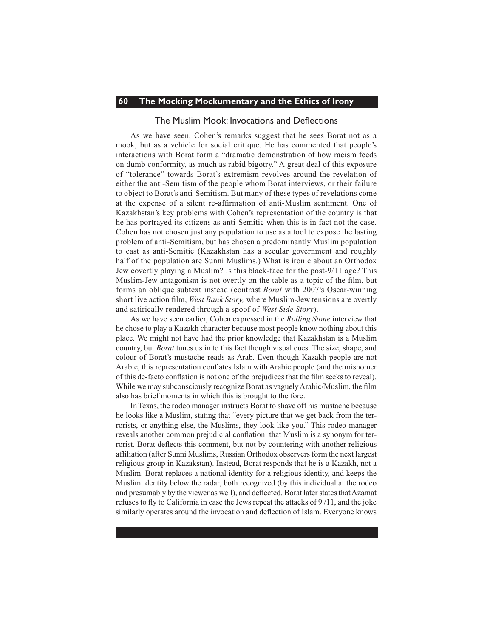#### The Muslim Mook: Invocations and Deflections

 As we have seen, Cohen's remarks suggest that he sees Borat not as a mook, but as a vehicle for social critique. He has commented that people's interactions with Borat form a "dramatic demonstration of how racism feeds on dumb conformity, as much as rabid bigotry." A great deal of this exposure of "tolerance" towards Borat's extremism revolves around the revelation of either the anti-Semitism of the people whom Borat interviews, or their failure to object to Borat's anti-Semitism. But many of these types of revelations come at the expense of a silent re-affirmation of anti-Muslim sentiment. One of Kazakhstan's key problems with Cohen's representation of the country is that he has portrayed its citizens as anti-Semitic when this is in fact not the case. Cohen has not chosen just any population to use as a tool to expose the lasting problem of anti-Semitism, but has chosen a predominantly Muslim population to cast as anti-Semitic (Kazakhstan has a secular government and roughly half of the population are Sunni Muslims.) What is ironic about an Orthodox Jew covertly playing a Muslim? Is this black-face for the post-9/11 age? This Muslim-Jew antagonism is not overtly on the table as a topic of the film, but forms an oblique subtext instead (contrast *Borat* with 2007's Oscar-winning short live action film, *West Bank Story,* where Muslim-Jew tensions are overtly and satirically rendered through a spoof of *West Side Story*).

 As we have seen earlier, Cohen expressed in the *Rolling Stone* interview that he chose to play a Kazakh character because most people know nothing about this place. We might not have had the prior knowledge that Kazakhstan is a Muslim country, but *Borat* tunes us in to this fact though visual cues. The size, shape, and colour of Borat's mustache reads as Arab. Even though Kazakh people are not Arabic, this representation conflates Islam with Arabic people (and the misnomer of this de-facto conflation is not one of the prejudices that the film seeks to reveal). While we may subconsciously recognize Borat as vaguely Arabic/Muslim, the film also has brief moments in which this is brought to the fore.

 In Texas, the rodeo manager instructs Borat to shave off his mustache because he looks like a Muslim, stating that "every picture that we get back from the terrorists, or anything else, the Muslims, they look like you." This rodeo manager reveals another common prejudicial conflation: that Muslim is a synonym for terrorist. Borat deflects this comment, but not by countering with another religious affiliation (after Sunni Muslims, Russian Orthodox observersform the next largest religious group in Kazakstan). Instead, Borat responds that he is a Kazakh, not a Muslim. Borat replaces a national identity for a religious identity, and keeps the Muslim identity below the radar, both recognized (by this individual at the rodeo and presumably by the viewer as well), and deflected. Borat later states that Azamat refuses to fly to California in case the Jews repeat the attacks of 9 /11, and the joke similarly operates around the invocation and deflection of Islam. Everyone knows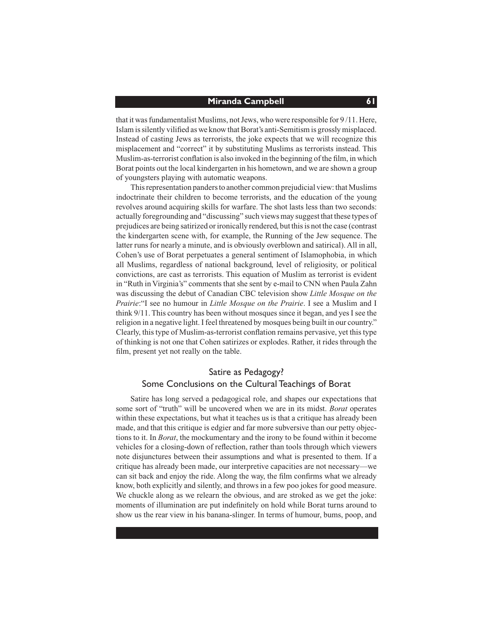#### **Miranda Campbell 61**

that it was fundamentalist Muslims, not Jews, who were responsible for 9/11. Here, Islamissilently vilified as we know thatBorat's anti-Semitismis grosslymisplaced. Instead of casting Jews as terrorists, the joke expects that we will recognize this misplacement and "correct" it by substituting Muslims as terrorists instead. This Muslim-as-terrorist conflation is also invoked in the beginning of the film, in which Borat points out the local kindergarten in his hometown, and we are shown a group of youngsters playing with automatic weapons.

This representation panders to another common prejudicial view: that Muslims indoctrinate their children to become terrorists, and the education of the young revolves around acquiring skills for warfare. The shot lasts less than two seconds: actually foregrounding and "discussing" such viewsmay suggest that these types of prejudices are being satirized orironically rendered, but thisis not the case (contrast the kindergarten scene with, for example, the Running of the Jew sequence. The latter runs for nearly a minute, and is obviously overblown and satirical). All in all, Cohen's use of Borat perpetuates a general sentiment of Islamophobia, in which all Muslims, regardless of national background, level of religiosity, or political convictions, are cast as terrorists. This equation of Muslim as terrorist is evident in "Ruth in Virginia's" comments that she sent by e-mail to CNN when Paula Zahn was discussing the debut of Canadian CBC television show *Little Mosque on the Prairie*:"I see no humour in *Little Mosque on the Prairie*. I see a Muslim and I think 9/11.This country has been without mosques since it began, and yes I see the religion in a negative light. I feel threatened by mosques being built in our country." Clearly, thistype of Muslim-as-terrorist conflation remains pervasive, yet thistype of thinking is not one that Cohen satirizes or explodes. Rather, it rides through the film, present yet not really on the table.

### Satire as Pedagogy? Some Conclusions on the Cultural Teachings of Borat

 Satire has long served a pedagogical role, and shapes our expectations that some sort of "truth" will be uncovered when we are in its midst. *Borat* operates within these expectations, but what it teaches us is that a critique has already been made, and that this critique is edgier and far more subversive than our petty objections to it. In *Borat*, the mockumentary and the irony to be found within it become vehicles for a closing-down of reflection, rather than tools through which viewers note disjunctures between their assumptions and what is presented to them. If a critique has already been made, our interpretive capacities are not necessary—we can sit back and enjoy the ride. Along the way, the film confirms what we already know, both explicitly and silently, and throws in a few poo jokes for good measure. We chuckle along as we relearn the obvious, and are stroked as we get the joke: moments of illumination are put indefinitely on hold while Borat turns around to show us the rear view in his banana-slinger. In terms of humour, bums, poop, and